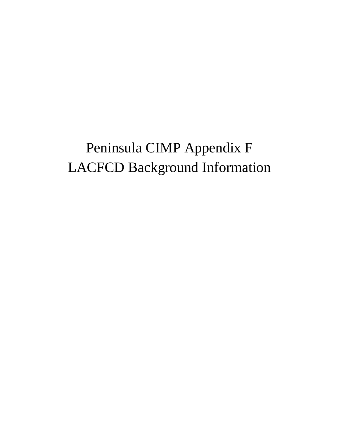## Peninsula CIMP Appendix F LACFCD Background Information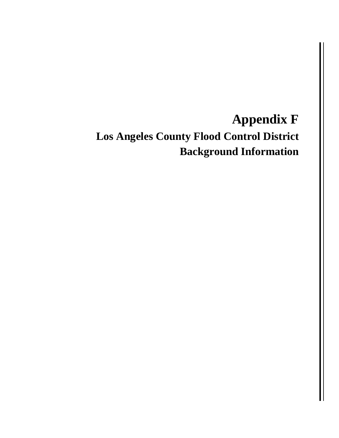## **Appendix F**

**Los Angeles County Flood Control District Background Information**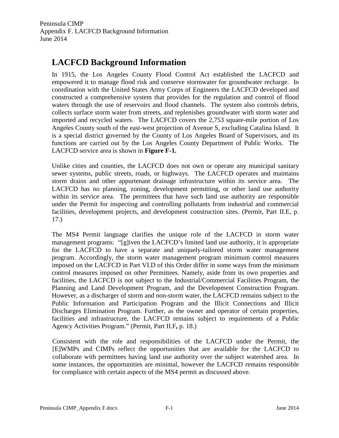Peninsula CIMP Appendix F. LACFCD Background Information June 2014

## **LACFCD Background Information**

In 1915, the Los Angeles County Flood Control Act established the LACFCD and empowered it to manage flood risk and conserve stormwater for groundwater recharge. In coordination with the United States Army Corps of Engineers the LACFCD developed and constructed a comprehensive system that provides for the regulation and control of flood waters through the use of reservoirs and flood channels. The system also controls debris, collects surface storm water from streets, and replenishes groundwater with storm water and imported and recycled waters. The LACFCD covers the 2,753 square-mile portion of Los Angeles County south of the east-west projection of Avenue S, excluding Catalina Island. It is a special district governed by the County of Los Angeles Board of Supervisors, and its functions are carried out by the Los Angeles County Department of Public Works. The LACFCD service area is shown in **Figure F-1.**

Unlike cities and counties, the LACFCD does not own or operate any municipal sanitary sewer systems, public streets, roads, or highways. The LACFCD operates and maintains storm drains and other appurtenant drainage infrastructure within its service area. The LACFCD has no planning, zoning, development permitting, or other land use authority within its service area. The permittees that have such land use authority are responsible under the Permit for inspecting and controlling pollutants from industrial and commercial facilities, development projects, and development construction sites. (Permit, Part II.E, p. 17.)

The MS4 Permit language clarifies the unique role of the LACFCD in storm water management programs: "[g]iven the LACFCD's limited land use authority, it is appropriate for the LACFCD to have a separate and uniquely-tailored storm water management program. Accordingly, the storm water management program minimum control measures imposed on the LACFCD in Part VI.D of this Order differ in some ways from the minimum control measures imposed on other Permittees. Namely, aside from its own properties and facilities, the LACFCD is not subject to the Industrial/Commercial Facilities Program, the Planning and Land Development Program, and the Development Construction Program. However, as a discharger of storm and non-storm water, the LACFCD remains subject to the Public Information and Participation Program and the Illicit Connections and Illicit Discharges Elimination Program. Further, as the owner and operator of certain properties, facilities and infrastructure, the LACFCD remains subject to requirements of a Public Agency Activities Program." (Permit, Part II.F**,** p. 18.)

Consistent with the role and responsibilities of the LACFCD under the Permit, the [E]WMPs and CIMPs reflect the opportunities that are available for the LACFCD to collaborate with permittees having land use authority over the subject watershed area. In some instances, the opportunities are minimal, however the LACFCD remains responsible for compliance with certain aspects of the MS4 permit as discussed above.